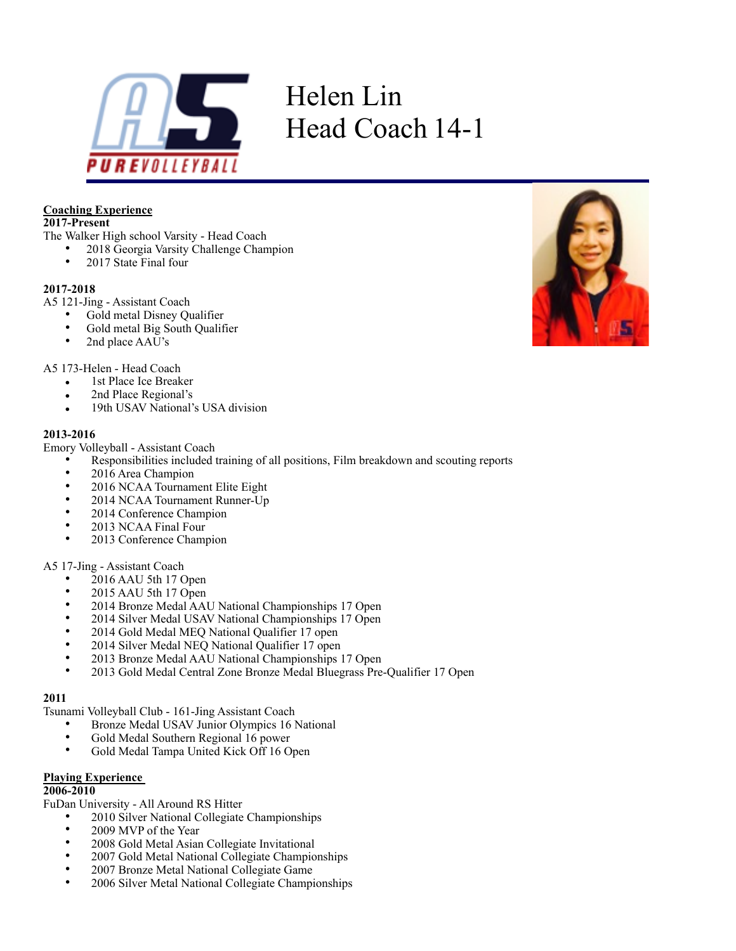

# Helen Lin Head Coach 14-1

#### **Coaching Experience**

# **2017-Present**

The Walker High school Varsity - Head Coach

- 2018 Georgia Varsity Challenge Champion<br>• 2017 State Final four
	- 2017 State Final four

#### **2017-2018**

- A5 121-Jing Assistant Coach
	- Gold metal Disney Qualifier
	- Gold metal Big South Qualifier<br>•  $2nd$  place A AII's
	- 2nd place AAU's

A5 173-Helen - Head Coach

- 1st Place Ice Breaker
- 2nd Place Regional's
- 19th USAV National's USA division

#### **2013-2016**

Emory Volleyball - Assistant Coach

- Responsibilities included training of all positions, Film breakdown and scouting reports
- 2016 Area Champion
- 2016 NCAA Tournament Elite Eight
- 2014 NCAA Tournament Runner-Up
- 2014 Conference Champion
- 2013 NCAA Final Four
- 2013 Conference Champion

#### A5 17-Jing - Assistant Coach

- 2016 AAU 5th 17 Open<br>• 2015 AAU 5th 17 Open
- 2015 AAU 5th 17 Open
- 2014 Bronze Medal AAU National Championships 17 Open
- 2014 Silver Medal USAV National Championships 17 Open
- 2014 Gold Medal MEQ National Qualifier 17 open
- 2014 Silver Medal NEQ National Qualifier 17 open
- 2013 Bronze Medal AAU National Championships 17 Open<br>• 2013 Gold Medal Central Zone Bronze Medal Bluegrass Pre
- 2013 Gold Medal Central Zone Bronze Medal Bluegrass Pre-Qualifier 17 Open

#### **2011**

Tsunami Volleyball Club - 161-Jing Assistant Coach

- Bronze Medal USAV Junior Olympics 16 National<br>• Gold Medal Southern Pegional 16 nower
- Gold Medal Southern Regional 16 power<br>• Gold Medal Tampa United Kick Off 16 O
- Gold Medal Tampa United Kick Off 16 Open

#### **Playing Experience**

#### **2006-2010**

FuDan University - All Around RS Hitter

- 2010 Silver National Collegiate Championships
- 2009 MVP of the Year
- 2008 Gold Metal Asian Collegiate Invitational
- 2007 Gold Metal National Collegiate Championships
- 2007 Bronze Metal National Collegiate Game
- 2006 Silver Metal National Collegiate Championships